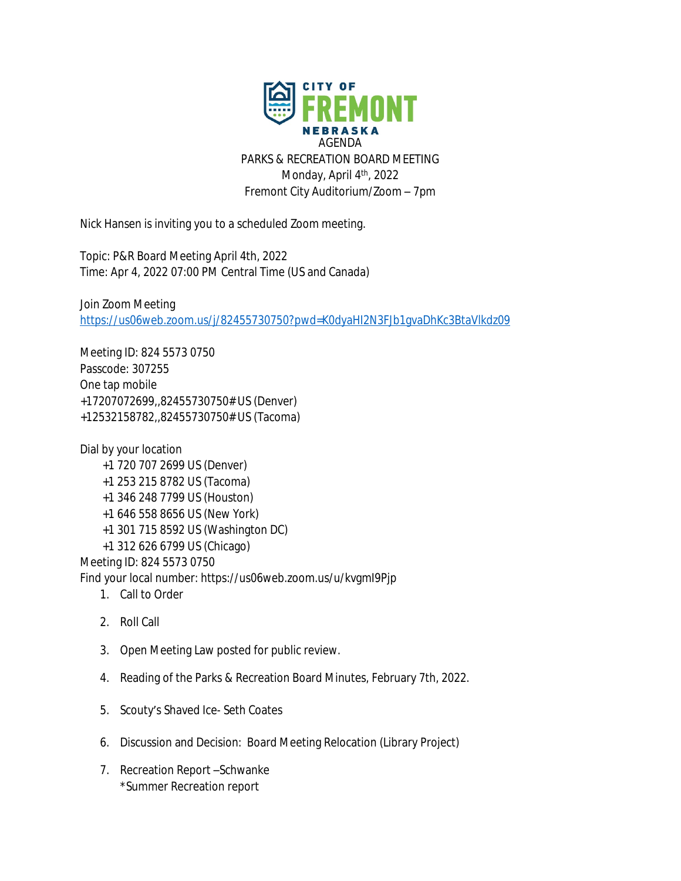AGENDA PARKS & RECREATION BOARD MEETING Monday, April 4<sup>th</sup>, 2022 Fremont City Auditorium/Zoom – 7pm

Nick Hansen is inviting you to a scheduled Zoom meeting.

Topic: P&R Board Meeting April 4th, 2022 Time: Apr 4, 2022 07:00 PM Central Time (US and Canada)

Join Zoom Meeting <https://us06web.zoom.us/j/82455730750?pwd=K0dyaHI2N3FJb1gvaDhKc3BtaVlkdz09>

Meeting ID: 824 5573 0750 Passcode: 307255 One tap mobile +17207072699,,82455730750# US (Denver) +12532158782,,82455730750# US (Tacoma)

Dial by your location +1 720 707 2699 US (Denver) +1 253 215 8782 US (Tacoma) +1 346 248 7799 US (Houston) +1 646 558 8656 US (New York) +1 301 715 8592 US (Washington DC) +1 312 626 6799 US (Chicago) Meeting ID: 824 5573 0750 Find your local number: https://us06web.zoom.us/u/kvgmI9Pjp

- 1. Call to Order
- 2. Roll Call
- 3. Open Meeting Law posted for public review.
- 4. Reading of the Parks & Recreation Board Minutes, February 7th, 2022.
- 5. Scouty's Shaved Ice- Seth Coates
- 6. Discussion and Decision: Board Meeting Relocation (Library Project)
- 7. Recreation Report –Schwanke \*Summer Recreation report